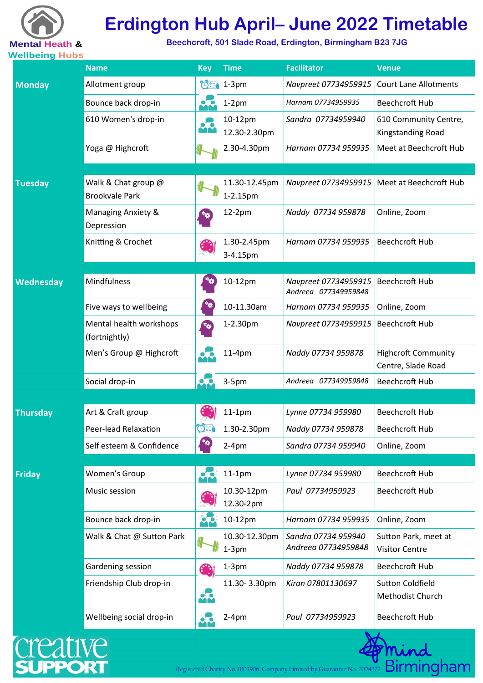

# **Erdington Hub April– June 2022 Timetable**

**Beechcroft, 501 Slade Road, Erdington, Birmingham B23 7JG** 

| <u>venneniy riuna</u> | <b>Name</b>                                  | <b>Key</b>          | <b>Time</b>               | <b>Facilitator</b>                           | <b>Venue</b>                                     |
|-----------------------|----------------------------------------------|---------------------|---------------------------|----------------------------------------------|--------------------------------------------------|
| <b>Monday</b>         | Allotment group                              |                     | $\bigcirc \exists$ 1-3pm  | Navpreet 07734959915                         | <b>Court Lane Allotments</b>                     |
|                       | Bounce back drop-in                          |                     | $1-2$ pm                  | Harnam 07734959935                           | <b>Beechcroft Hub</b>                            |
|                       | 610 Women's drop-in                          | 76                  | 10-12pm<br>12.30-2.30pm   | Sandra 07734959940                           | 610 Community Centre,<br>Kingstanding Road       |
|                       | Yoga @ Highcroft                             |                     | 2.30-4.30pm               | Harnam 07734 959935                          | Meet at Beechcroft Hub                           |
| <b>Tuesday</b>        | Walk & Chat group @<br><b>Brookvale Park</b> |                     | 11.30-12.45pm<br>1-2.15pm | Navpreet 07734959915                         | Meet at Beechcroft Hub                           |
|                       | Managing Anxiety &<br>Depression             |                     | 12-2pm                    | Naddy 07734 959878                           | Online, Zoom                                     |
|                       | Knitting & Crochet                           |                     | 1.30-2.45pm<br>3-4.15pm   | Harnam 07734 959935                          | <b>Beechcroft Hub</b>                            |
|                       |                                              |                     |                           |                                              |                                                  |
| <b>Wednesday</b>      | Mindfulness                                  |                     | 10-12pm                   | Navpreet 07734959915<br>Andreea 077349959848 | <b>Beechcroft Hub</b>                            |
|                       | Five ways to wellbeing                       |                     | 10-11.30am                | Harnam 07734 959935                          | Online, Zoom                                     |
|                       | Mental health workshops<br>(fortnightly)     |                     | 1-2.30pm                  | Navpreet 07734959915                         | <b>Beechcroft Hub</b>                            |
|                       | Men's Group @ Highcroft                      | $\bullet$ $\bullet$ | 11-4pm                    | Naddy 07734 959878                           | <b>Highcroft Community</b><br>Centre, Slade Road |
|                       | Social drop-in                               |                     | $3-5pm$                   | Andreea 077349959848                         | <b>Beechcroft Hub</b>                            |
|                       |                                              |                     |                           |                                              |                                                  |
| <b>Thursday</b>       | Art & Craft group                            |                     | $11-1pm$                  | Lynne 07734 959980                           | <b>Beechcroft Hub</b>                            |
|                       | Peer-lead Relaxation                         | $O^+$               | 1.30-2.30pm               | Naddy 07734 959878                           | <b>Beechcroft Hub</b>                            |
|                       | Self esteem & Confidence                     | **                  | $2-4pm$                   | Sandra 07734 959940                          | Online, Zoom                                     |
| <b>Friday</b>         | Women's Group                                |                     | $11-1pm$                  | Lynne 07734 959980                           | <b>Beechcroft Hub</b>                            |
|                       | Music session                                |                     | 10.30-12pm<br>12.30-2pm   | Paul 07734959923                             | <b>Beechcroft Hub</b>                            |
|                       | Bounce back drop-in                          | $\bullet$           | 10-12pm                   | Harnam 07734 959935                          | Online, Zoom                                     |
|                       | Walk & Chat @ Sutton Park                    |                     | 10.30-12.30pm<br>$1-3$ pm | Sandra 07734 959940<br>Andreea 07734959848   | Sutton Park, meet at<br><b>Visitor Centre</b>    |
|                       | Gardening session                            |                     | $1-3$ pm                  | Naddy 07734 959878                           | <b>Beechcroft Hub</b>                            |
|                       | Friendship Club drop-in                      |                     | 11.30-3.30pm              | Kiran 07801130697                            | <b>Sutton Coldfield</b><br>Methodist Church      |
|                       | Wellbeing social drop-in                     | $\bullet$           | $2-4pm$                   | Paul 07734959923                             | <b>Beechcroft Hub</b>                            |



Registered Charity No. 1003906 Company Limited by Guarantee No. 2024372 Birmingham

min